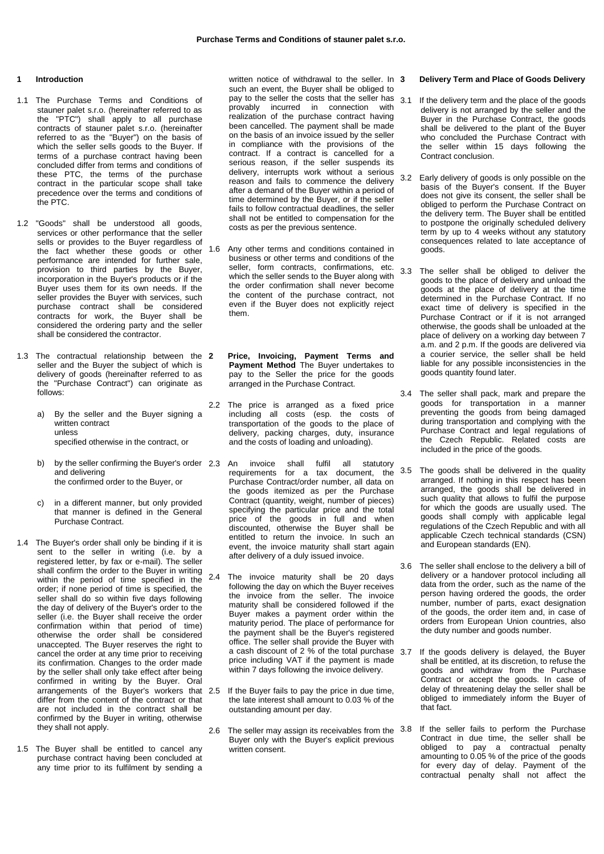## **1 Introduction**

- 1.1 The Purchase Terms and Conditions of stauner palet s.r.o. (hereinafter referred to as the "PTC") shall apply to all purchase contracts of stauner palet s.r.o. (hereinafter referred to as the "Buyer") on the basis of which the seller sells goods to the Buyer. If terms of a purchase contract having been concluded differ from terms and conditions of these PTC, the terms of the purchase contract in the particular scope shall take precedence over the terms and conditions of the PTC.
- 1.2 "Goods" shall be understood all goods, services or other performance that the seller sells or provides to the Buyer regardless of the fact whether these goods or other performance are intended for further sale, provision to third parties by the Buyer, incorporation in the Buyer's products or if the Buyer uses them for its own needs. If the seller provides the Buyer with services, such purchase contract shall be considered contracts for work, the Buyer shall be considered the ordering party and the seller shall be considered the contractor.
- 1.3 The contractual relationship between the 2 seller and the Buyer the subject of which is delivery of goods (hereinafter referred to as the "Purchase Contract") can originate as follows:
	- a) By the seller and the Buyer signing a written contract unless specified otherwise in the contract, or
	- b) by the seller confirming the Buyer's order 2.3 An and delivering the confirmed order to the Buyer, or
	- c) in a different manner, but only provided that manner is defined in the General Purchase Contract.
- 1.4 The Buyer's order shall only be binding if it is sent to the seller in writing (i.e. by a registered letter, by fax or e-mail). The seller shall confirm the order to the Buyer in writing within the period of time specified in the order; if none period of time is specified, the seller shall do so within five days following the day of delivery of the Buyer's order to the seller (i.e. the Buyer shall receive the order confirmation within that period of time) otherwise the order shall be considered unaccepted. The Buyer reserves the right to cancel the order at any time prior to receiving its confirmation. Changes to the order made by the seller shall only take effect after being confirmed in writing by the Buyer. Oral arrangements of the Buyer's workers that differ from the content of the contract or that are not included in the contract shall be confirmed by the Buyer in writing, otherwise they shall not apply.
- 1.5 The Buyer shall be entitled to cancel any purchase contract having been concluded at any time prior to its fulfilment by sending a

written notice of withdrawal to the seller. In 3 such an event, the Buyer shall be obliged to pay to the seller the costs that the seller has  $3.1$ provably incurred in connection with realization of the purchase contract having been cancelled. The payment shall be made on the basis of an invoice issued by the seller in compliance with the provisions of the contract. If a contract is cancelled for a serious reason, if the seller suspends its delivery, interrupts work without a serious reason and fails to commence the delivery after a demand of the Buyer within a period of time determined by the Buyer, or if the seller fails to follow contractual deadlines, the seller shall not be entitled to compensation for the costs as per the previous sentence.

- 1.6 Any other terms and conditions contained in business or other terms and conditions of the seller, form contracts, confirmations, etc. which the seller sends to the Buyer along with the order confirmation shall never become the content of the purchase contract, not even if the Buyer does not explicitly reject them.
- **2 Price, Invoicing, Payment Terms and Payment Method** The Buyer undertakes to pay to the Seller the price for the goods arranged in the Purchase Contract.
- 2.2 The price is arranged as a fixed price including all costs (esp. the costs of transportation of the goods to the place of delivery, packing charges, duty, insurance and the costs of loading and unloading).
	- invoice shall fulfil all statutory Purchase Contract/order number, all data on the goods itemized as per the Purchase Contract (quantity, weight, number of pieces) specifying the particular price and the total price of the goods in full and when discounted, otherwise the Buyer shall be entitled to return the invoice. In such an event, the invoice maturity shall start again after delivery of a duly issued invoice.
- 2.4 The invoice maturity shall be 20 days following the day on which the Buyer receives the invoice from the seller. The invoice maturity shall be considered followed if the Buyer makes a payment order within the maturity period. The place of performance for the payment shall be the Buyer's registered office. The seller shall provide the Buyer with a cash discount of 2 % of the total purchase 3.7 price including VAT if the payment is made within 7 days following the invoice delivery.
	- If the Buyer fails to pay the price in due time, the late interest shall amount to 0.03 % of the outstanding amount per day.
- 2.6 The seller may assign its receivables from the  $3.8$ Buyer only with the Buyer's explicit previous written consent.

## **3 Delivery Term and Place of Goods Delivery**

- If the delivery term and the place of the goods delivery is not arranged by the seller and the Buyer in the Purchase Contract, the goods shall be delivered to the plant of the Buyer who concluded the Purchase Contract with the seller within 15 days following the Contract conclusion.
- 3.2 Early delivery of goods is only possible on the basis of the Buyer's consent. If the Buyer does not give its consent, the seller shall be obliged to perform the Purchase Contract on the delivery term. The Buyer shall be entitled to postpone the originally scheduled delivery term by up to 4 weeks without any statutory consequences related to late acceptance of goods.
- The seller shall be obliged to deliver the goods to the place of delivery and unload the goods at the place of delivery at the time determined in the Purchase Contract. If no exact time of delivery is specified in the Purchase Contract or if it is not arranged otherwise, the goods shall be unloaded at the place of delivery on a working day between 7 a.m. and 2 p.m. If the goods are delivered via a courier service, the seller shall be held liable for any possible inconsistencies in the goods quantity found later.
- 3.4 The seller shall pack, mark and prepare the goods for transportation in a manner preventing the goods from being damaged during transportation and complying with the Purchase Contract and legal regulations of the Czech Republic. Related costs are included in the price of the goods.
- requirements for a tax document, the 3.5 The goods shall be delivered in the quality arranged. If nothing in this respect has been arranged, the goods shall be delivered in such quality that allows to fulfil the purpose for which the goods are usually used. The goods shall comply with applicable legal regulations of the Czech Republic and with all applicable Czech technical standards (CSN) and European standards (EN).
	- 3.6 The seller shall enclose to the delivery a bill of delivery or a handover protocol including all data from the order, such as the name of the person having ordered the goods, the order number, number of parts, exact designation of the goods, the order item and, in case of orders from European Union countries, also the duty number and goods number.
	- If the goods delivery is delayed, the Buyer shall be entitled, at its discretion, to refuse the goods and withdraw from the Purchase Contract or accept the goods. In case of delay of threatening delay the seller shall be obliged to immediately inform the Buyer of that fact.
	- If the seller fails to perform the Purchase Contract in due time, the seller shall be obliged to pay a contractual penalty amounting to 0.05 % of the price of the goods for every day of delay. Payment of the contractual penalty shall not affect the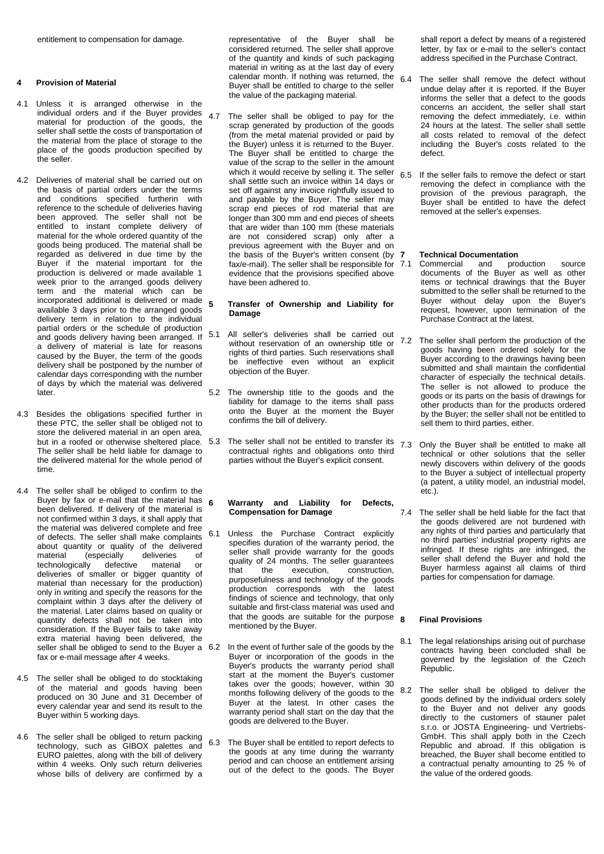entitlement to compensation for damage.

# **4 Provision of Material**

- 4.1 Unless it is arranged otherwise in the individual orders and if the Buyer provides material for production of the goods, the seller shall settle the costs of transportation of the material from the place of storage to the place of the goods production specified by the seller.
- 4.2 Deliveries of material shall be carried out on the basis of partial orders under the terms and conditions specified furtherin with reference to the schedule of deliveries having been approved. The seller shall not be entitled to instant complete delivery of material for the whole ordered quantity of the goods being produced. The material shall be regarded as delivered in due time by the Buyer if the material important for the production is delivered or made available 1 week prior to the arranged goods delivery term and the material which can be incorporated additional is delivered or made 5 available 3 days prior to the arranged goods delivery term in relation to the individual partial orders or the schedule of production and goods delivery having been arranged. If a delivery of material is late for reasons caused by the Buyer, the term of the goods delivery shall be postponed by the number of calendar days corresponding with the number of days by which the material was delivered later.
- 4.3 Besides the obligations specified further in these PTC, the seller shall be obliged not to store the delivered material in an open area, but in a roofed or otherwise sheltered place. 5.3 The seller shall be held liable for damage to the delivered material for the whole period of time.
- 4.4 The seller shall be obliged to confirm to the Buyer by fax or e-mail that the material has  $6$ been delivered. If delivery of the material is not confirmed within 3 days, it shall apply that the material was delivered complete and free of defects. The seller shall make complaints about quantity or quality of the delivered<br>material (especially deliveries of especially deliveries)<br>cally defective material technologically defective material or deliveries of smaller or bigger quantity of material than necessary for the production) only in writing and specify the reasons for the complaint within 3 days after the delivery of the material. Later claims based on quality or quantity defects shall not be taken into consideration. If the Buyer fails to take away extra material having been delivered, the seller shall be obliged to send to the Buyer a 6.2 fax or e-mail message after 4 weeks.
- 4.5 The seller shall be obliged to do stocktaking of the material and goods having been produced on 30 June and 31 December of every calendar year and send its result to the Buyer within 5 working days.
- 4.6 The seller shall be obliged to return packing technology, such as GIBOX palettes and EURO palettes, along with the bill of delivery within 4 weeks. Only such return deliveries whose bills of delivery are confirmed by a

representative of the Buyer shall be considered returned. The seller shall approve of the quantity and kinds of such packaging material in writing as at the last day of every calendar month. If nothing was returned, the Buyer shall be entitled to charge to the seller the value of the packaging material.

4.7 The seller shall be obliged to pay for the scrap generated by production of the goods (from the metal material provided or paid by the Buyer) unless it is returned to the Buyer. The Buyer shall be entitled to charge the value of the scrap to the seller in the amount which it would receive by selling it. The seller shall settle such an invoice within 14 days or set off against any invoice rightfully issued to and payable by the Buyer. The seller may scrap end pieces of rod material that are longer than 300 mm and end pieces of sheets that are wider than 100 mm (these materials are not considered scrap) only after a previous agreement with the Buyer and on the basis of the Buyer's written consent (by 7 fax/e-mail). The seller shall be responsible for 7.1 evidence that the provisions specified above have been adhered to.

# **5 Transfer of Ownership and Liability for Damage**

- 5.1 All seller's deliveries shall be carried out without reservation of an ownership title or rights of third parties. Such reservations shall be ineffective even without an explicit objection of the Buyer.
- 5.2 The ownership title to the goods and the liability for damage to the items shall pass onto the Buyer at the moment the Buyer confirms the bill of delivery.
- The seller shall not be entitled to transfer its  $7.3$ contractual rights and obligations onto third parties without the Buyer's explicit consent.

# **6 Warranty and Liability for Defects, Compensation for Damage**

- 6.1 Unless the Purchase Contract explicitly specifies duration of the warranty period, the seller shall provide warranty for the goods quality of 24 months. The seller guarantees<br>that the execution, construction, construction, purposefulness and technology of the goods production corresponds with the latest findings of science and technology, that only suitable and first-class material was used and that the goods are suitable for the purpose  $\mathbf g$ mentioned by the Buyer.
- In the event of further sale of the goods by the Buyer or incorporation of the goods in the Buyer's products the warranty period shall start at the moment the Buyer's customer takes over the goods; however, within 30 months following delivery of the goods to the Buyer at the latest. In other cases the warranty period shall start on the day that the goods are delivered to the Buyer.
- 6.3 The Buyer shall be entitled to report defects to the goods at any time during the warranty period and can choose an entitlement arising out of the defect to the goods. The Buyer

shall report a defect by means of a registered letter, by fax or e-mail to the seller's contact address specified in the Purchase Contract.

- 6.4 The seller shall remove the defect without undue delay after it is reported. If the Buyer informs the seller that a defect to the goods concerns an accident, the seller shall start removing the defect immediately, i.e. within 24 hours at the latest. The seller shall settle all costs related to removal of the defect including the Buyer's costs related to the defect.
- 6.5 If the seller fails to remove the defect or start removing the defect in compliance with the provision of the previous paragraph, the Buyer shall be entitled to have the defect removed at the seller's expenses.

- **7 Technical Documentation** Commercial and production source documents of the Buyer as well as other items or technical drawings that the Buyer submitted to the seller shall be returned to the Buyer without delay upon the Buyer's request, however, upon termination of the Purchase Contract at the latest.
- 7.2 The seller shall perform the production of the goods having been ordered solely for the Buyer according to the drawings having been submitted and shall maintain the confidential character of especially the technical details. The seller is not allowed to produce the goods or its parts on the basis of drawings for other products than for the products ordered by the Buyer; the seller shall not be entitled to sell them to third parties, either.
	- Only the Buyer shall be entitled to make all technical or other solutions that the seller newly discovers within delivery of the goods to the Buyer a subject of intellectual property (a patent, a utility model, an industrial model, etc.).
- 7.4 The seller shall be held liable for the fact that the goods delivered are not burdened with any rights of third parties and particularly that no third parties' industrial property rights are infringed. If these rights are infringed, the seller shall defend the Buyer and hold the Buyer harmless against all claims of third parties for compensation for damage.

# **8 Final Provisions**

- The legal relationships arising out of purchase contracts having been concluded shall be governed by the legislation of the Czech Republic.
- 8.2 The seller shall be obliged to deliver the goods defined by the individual orders solely to the Buyer and not deliver any goods directly to the customers of stauner palet s.r.o. or JOSTA Engineering- und Vertriebs-GmbH. This shall apply both in the Czech Republic and abroad. If this obligation is breached, the Buyer shall become entitled to a contractual penalty amounting to 25 % of the value of the ordered goods.